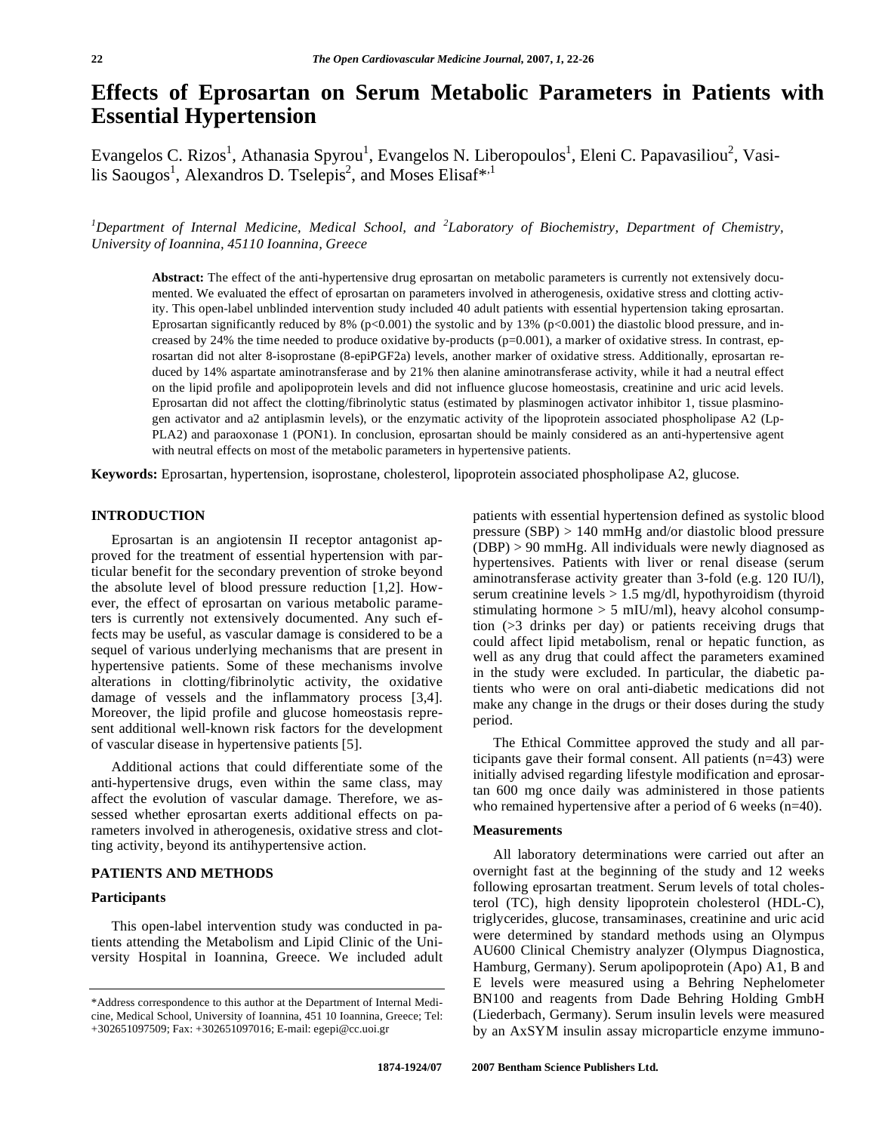# **Effects of Eprosartan on Serum Metabolic Parameters in Patients with Essential Hypertension**

Evangelos C. Rizos<sup>1</sup>, Athanasia Spyrou<sup>1</sup>, Evangelos N. Liberopoulos<sup>1</sup>, Eleni C. Papavasiliou<sup>2</sup>, Vasilis Saougos<sup>1</sup>, Alexandros D. Tselepis<sup>2</sup>, and Moses Elisaf<sup>\*,1</sup>

*1 Department of Internal Medicine, Medical School, and <sup>2</sup> Laboratory of Biochemistry, Department of Chemistry, University of Ioannina, 45110 Ioannina, Greece* 

**Abstract:** The effect of the anti-hypertensive drug eprosartan on metabolic parameters is currently not extensively documented. We evaluated the effect of eprosartan on parameters involved in atherogenesis, oxidative stress and clotting activity. This open-label unblinded intervention study included 40 adult patients with essential hypertension taking eprosartan. Eprosartan significantly reduced by 8% (p<0.001) the systolic and by 13% (p<0.001) the diastolic blood pressure, and increased by 24% the time needed to produce oxidative by-products (p=0.001), a marker of oxidative stress. In contrast, eprosartan did not alter 8-isoprostane (8-epiPGF2a) levels, another marker of oxidative stress. Additionally, eprosartan reduced by 14% aspartate aminotransferase and by 21% then alanine aminotransferase activity, while it had a neutral effect on the lipid profile and apolipoprotein levels and did not influence glucose homeostasis, creatinine and uric acid levels. Eprosartan did not affect the clotting/fibrinolytic status (estimated by plasminogen activator inhibitor 1, tissue plasminogen activator and a2 antiplasmin levels), or the enzymatic activity of the lipoprotein associated phospholipase A2 (Lp-PLA2) and paraoxonase 1 (PON1). In conclusion, eprosartan should be mainly considered as an anti-hypertensive agent with neutral effects on most of the metabolic parameters in hypertensive patients.

**Keywords:** Eprosartan, hypertension, isoprostane, cholesterol, lipoprotein associated phospholipase A2, glucose.

# **INTRODUCTION**

 Eprosartan is an angiotensin II receptor antagonist approved for the treatment of essential hypertension with particular benefit for the secondary prevention of stroke beyond the absolute level of blood pressure reduction [1,2]. However, the effect of eprosartan on various metabolic parameters is currently not extensively documented. Any such effects may be useful, as vascular damage is considered to be a sequel of various underlying mechanisms that are present in hypertensive patients. Some of these mechanisms involve alterations in clotting/fibrinolytic activity, the oxidative damage of vessels and the inflammatory process [3,4]. Moreover, the lipid profile and glucose homeostasis represent additional well-known risk factors for the development of vascular disease in hypertensive patients [5].

 Additional actions that could differentiate some of the anti-hypertensive drugs, even within the same class, may affect the evolution of vascular damage. Therefore, we assessed whether eprosartan exerts additional effects on parameters involved in atherogenesis, oxidative stress and clotting activity, beyond its antihypertensive action.

# **PATIENTS AND METHODS**

## **Participants**

 This open-label intervention study was conducted in patients attending the Metabolism and Lipid Clinic of the University Hospital in Ioannina, Greece. We included adult patients with essential hypertension defined as systolic blood pressure (SBP) > 140 mmHg and/or diastolic blood pressure (DBP) > 90 mmHg. All individuals were newly diagnosed as hypertensives. Patients with liver or renal disease (serum aminotransferase activity greater than 3-fold (e.g. 120 IU/l), serum creatinine levels > 1.5 mg/dl, hypothyroidism (thyroid stimulating hormone  $> 5$  mIU/ml), heavy alcohol consumption (>3 drinks per day) or patients receiving drugs that could affect lipid metabolism, renal or hepatic function, as well as any drug that could affect the parameters examined in the study were excluded. In particular, the diabetic patients who were on oral anti-diabetic medications did not make any change in the drugs or their doses during the study period.

 The Ethical Committee approved the study and all participants gave their formal consent. All patients (n=43) were initially advised regarding lifestyle modification and eprosartan 600 mg once daily was administered in those patients who remained hypertensive after a period of 6 weeks (n=40).

#### **Measurements**

 All laboratory determinations were carried out after an overnight fast at the beginning of the study and 12 weeks following eprosartan treatment. Serum levels of total cholesterol (TC), high density lipoprotein cholesterol (HDL-C), triglycerides, glucose, transaminases, creatinine and uric acid were determined by standard methods using an Olympus AU600 Clinical Chemistry analyzer (Olympus Diagnostica, Hamburg, Germany). Serum apolipoprotein (Apo) A1, B and E levels were measured using a Behring Nephelometer BN100 and reagents from Dade Behring Holding GmbH (Liederbach, Germany). Serum insulin levels were measured by an AxSYM insulin assay microparticle enzyme immuno-

<sup>\*</sup>Address correspondence to this author at the Department of Internal Medicine, Medical School, University of Ioannina, 451 10 Ioannina, Greece; Tel: +302651097509; Fax: +302651097016; E-mail: egepi@cc.uoi.gr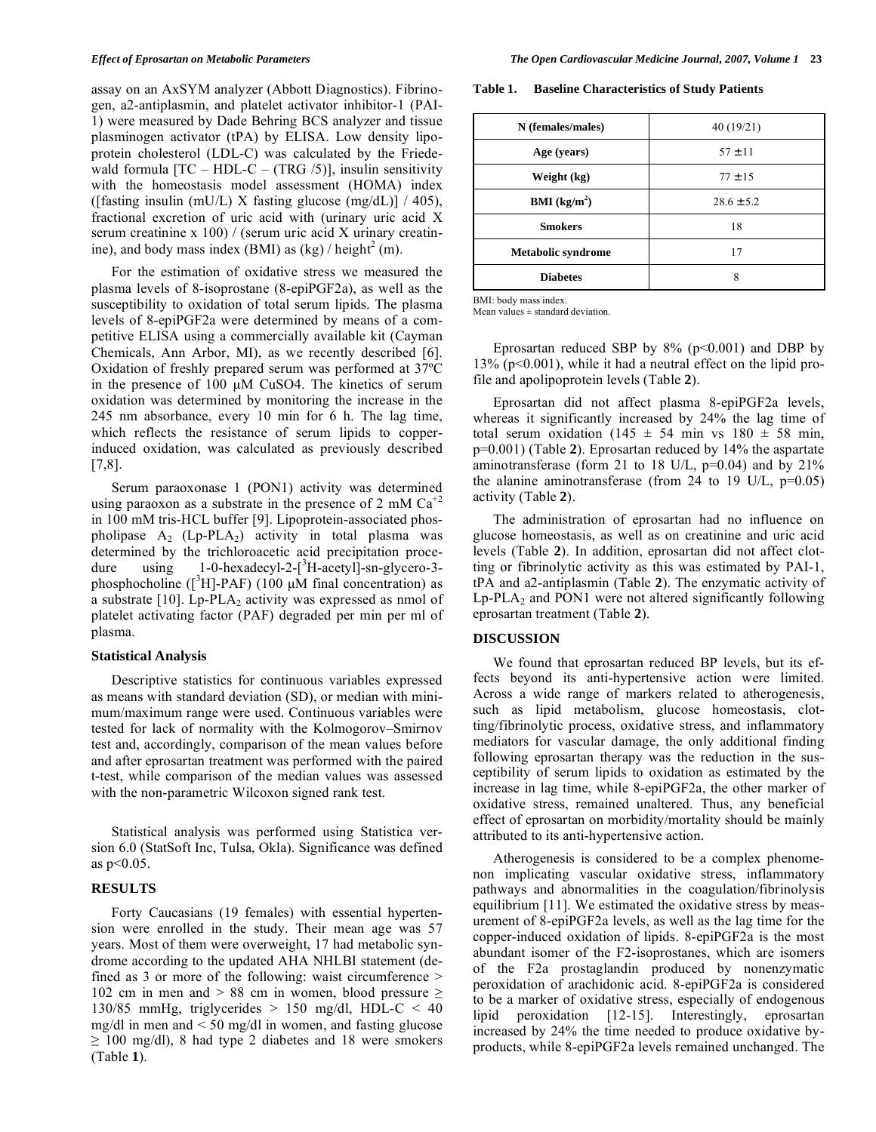assay on an AxSYM analyzer (Abbott Diagnostics). Fibrinogen, a2-antiplasmin, and platelet activator inhibitor-1 (PAI-1) were measured by Dade Behring BCS analyzer and tissue plasminogen activator (tPA) by ELISA. Low density lipoprotein cholesterol (LDL-C) was calculated by the Friedewald formula  $[TC - HDL-C - (TRG / 5)]$ , insulin sensitivity with the homeostasis model assessment (HOMA) index ([fasting insulin (mU/L) X fasting glucose (mg/dL)]  $/$  405), fractional excretion of uric acid with (urinary uric acid X serum creatinine x 100) / (serum uric acid X urinary creatinine), and body mass index (BMI) as  $(kg) /$  height<sup>2</sup> (m).

 For the estimation of oxidative stress we measured the plasma levels of 8-isoprostane (8-epiPGF2a), as well as the susceptibility to oxidation of total serum lipids. The plasma levels of 8-epiPGF2a were determined by means of a competitive ELISA using a commercially available kit (Cayman Chemicals, Ann Arbor, MI), as we recently described [6]. Oxidation of freshly prepared serum was performed at 37ºC in the presence of 100 μM CuSO4. The kinetics of serum oxidation was determined by monitoring the increase in the 245 nm absorbance, every 10 min for 6 h. The lag time, which reflects the resistance of serum lipids to copperinduced oxidation, was calculated as previously described [7,8].

 Serum paraoxonase 1 (PON1) activity was determined using paraoxon as a substrate in the presence of 2 mM  $Ca<sup>+2</sup>$ in 100 mM tris-HCL buffer [9]. Lipoprotein-associated phospholipase  $A_2$  (Lp-PLA<sub>2</sub>) activity in total plasma was determined by the trichloroacetic acid precipitation procedure using 1-0-hexadecyl-2-[<sup>3</sup> H-acetyl]-sn-glycero-3 phosphocholine  $($ [<sup>3</sup>H]-PAF) (100  $\mu$ M final concentration) as a substrate  $[10]$ . Lp-PLA<sub>2</sub> activity was expressed as nmol of platelet activating factor (PAF) degraded per min per ml of plasma.

#### **Statistical Analysis**

 Descriptive statistics for continuous variables expressed as means with standard deviation (SD), or median with minimum/maximum range were used. Continuous variables were tested for lack of normality with the Kolmogorov–Smirnov test and, accordingly, comparison of the mean values before and after eprosartan treatment was performed with the paired t-test, while comparison of the median values was assessed with the non-parametric Wilcoxon signed rank test.

 Statistical analysis was performed using Statistica version 6.0 (StatSoft Inc, Tulsa, Okla). Significance was defined as p<0.05.

# **RESULTS**

 Forty Caucasians (19 females) with essential hypertension were enrolled in the study. Their mean age was 57 years. Most of them were overweight, 17 had metabolic syndrome according to the updated AHA NHLBI statement (defined as 3 or more of the following: waist circumference > 102 cm in men and  $> 88$  cm in women, blood pressure  $\ge$ 130/85 mmHg, triglycerides  $> 150$  mg/dl, HDL-C  $< 40$ mg/dl in men and < 50 mg/dl in women, and fasting glucose  $\geq$  100 mg/dl), 8 had type 2 diabetes and 18 were smokers (Table **1**).

**Table 1. Baseline Characteristics of Study Patients** 

| N (females/males)         | 40 (19/21)     |  |
|---------------------------|----------------|--|
| Age (years)               | $57 + 11$      |  |
| Weight (kg)               | $77 + 15$      |  |
| <b>BMI</b> ( $kg/m2$ )    | $28.6 \pm 5.2$ |  |
| <b>Smokers</b>            | 18             |  |
| <b>Metabolic syndrome</b> | 17             |  |
| <b>Diabetes</b><br>8      |                |  |

BMI: body mass index.

Mean values  $\pm$  standard deviation.

Eprosartan reduced SBP by  $8\%$  (p<0.001) and DBP by 13% (p<0.001), while it had a neutral effect on the lipid profile and apolipoprotein levels (Table **2**).

 Eprosartan did not affect plasma 8-epiPGF2a levels, whereas it significantly increased by 24% the lag time of total serum oxidation (145  $\pm$  54 min vs 180  $\pm$  58 min, p=0.001) (Table **2**). Eprosartan reduced by 14% the aspartate aminotransferase (form 21 to 18 U/L,  $p=0.04$ ) and by 21% the alanine aminotransferase (from 24 to 19 U/L,  $p=0.05$ ) activity (Table **2**).

 The administration of eprosartan had no influence on glucose homeostasis, as well as on creatinine and uric acid levels (Table **2**). In addition, eprosartan did not affect clotting or fibrinolytic activity as this was estimated by PAI-1, tPA and a2-antiplasmin (Table **2**). The enzymatic activity of  $Lp$ -PLA<sub>2</sub> and PON1 were not altered significantly following eprosartan treatment (Table **2**).

### **DISCUSSION**

 We found that eprosartan reduced BP levels, but its effects beyond its anti-hypertensive action were limited. Across a wide range of markers related to atherogenesis, such as lipid metabolism, glucose homeostasis, clotting/fibrinolytic process, oxidative stress, and inflammatory mediators for vascular damage, the only additional finding following eprosartan therapy was the reduction in the susceptibility of serum lipids to oxidation as estimated by the increase in lag time, while 8-epiPGF2a, the other marker of oxidative stress, remained unaltered. Thus, any beneficial effect of eprosartan on morbidity/mortality should be mainly attributed to its anti-hypertensive action.

 Atherogenesis is considered to be a complex phenomenon implicating vascular oxidative stress, inflammatory pathways and abnormalities in the coagulation/fibrinolysis equilibrium [11]. We estimated the oxidative stress by measurement of 8-epiPGF2a levels, as well as the lag time for the copper-induced oxidation of lipids. 8-epiPGF2a is the most abundant isomer of the F2-isoprostanes, which are isomers of the F2a prostaglandin produced by nonenzymatic peroxidation of arachidonic acid. 8-epiPGF2a is considered to be a marker of oxidative stress, especially of endogenous lipid peroxidation [12-15]. Interestingly, eprosartan increased by 24% the time needed to produce oxidative byproducts, while 8-epiPGF2a levels remained unchanged. The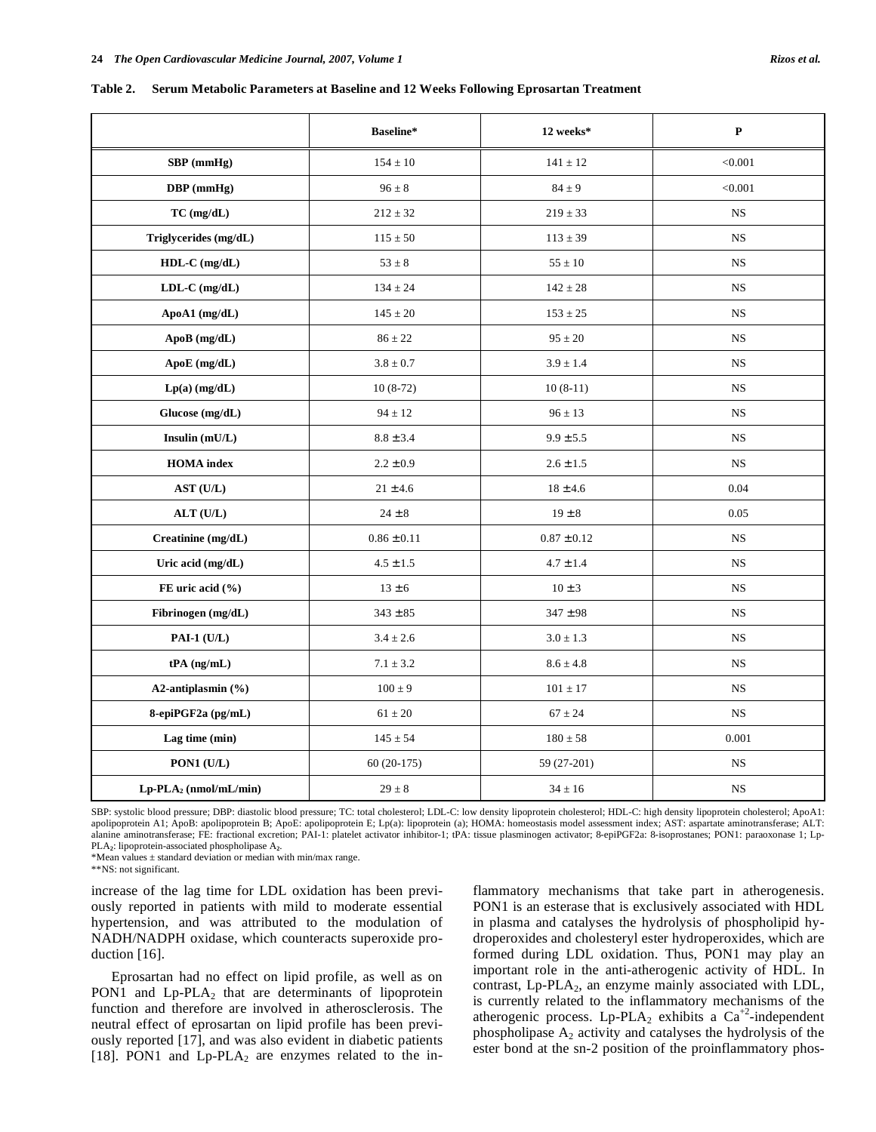**Table 2. Serum Metabolic Parameters at Baseline and 12 Weeks Following Eprosartan Treatment** 

|                          | Baseline*       | 12 weeks*       | $\mathbf{P}$ |
|--------------------------|-----------------|-----------------|--------------|
| SBP (mmHg)               | $154 \pm 10$    | $141\pm12$      | < 0.001      |
| DBP (mmHg)               | $96 \pm 8$      | $84 \pm 9$      | < 0.001      |
| $TC$ (mg/dL)             | $212 \pm 32$    | $219 \pm 33$    | <b>NS</b>    |
| Triglycerides (mg/dL)    | $115 \pm 50$    | $113 \pm 39$    | <b>NS</b>    |
| HDL-C (mg/dL)            | $53 \pm 8$      | $55\pm10$       | $_{\rm NS}$  |
| $LDL-C$ (mg/dL)          | $134 \pm 24$    | $142 \pm 28$    | <b>NS</b>    |
| ApoA1 $(mg/dL)$          | $145 \pm 20$    | $153 \pm 25$    | <b>NS</b>    |
| ApoB (mg/dL)             | $86 \pm 22$     | $95 \pm 20$     | NS           |
| ApoE (mg/dL)             | $3.8 \pm 0.7$   | $3.9 \pm 1.4$   | <b>NS</b>    |
| $Lp(a)$ (mg/dL)          | $10(8-72)$      | $10(8-11)$      | <b>NS</b>    |
| Glucose (mg/dL)          | $94 \pm 12$     | $96 \pm 13$     | $_{\rm NS}$  |
| Insulin (mU/L)           | $8.8 \pm 3.4$   | $9.9 \pm 5.5$   | NS           |
| <b>HOMA</b> index        | $2.2 \pm 0.9$   | $2.6\pm1.5$     | $_{\rm NS}$  |
| AST (U/L)                | $21 \pm 4.6$    | $18 \pm 4.6$    | 0.04         |
| ALT(U/L)                 | $24\pm8$        | $19 \pm 8$      | 0.05         |
| Creatinine (mg/dL)       | $0.86 \pm 0.11$ | $0.87 \pm 0.12$ | $_{\rm NS}$  |
| Uric acid (mg/dL)        | $4.5 \pm 1.5$   | $4.7 \pm 1.4$   | <b>NS</b>    |
| FE uric acid (%)         | $13 \pm 6$      | $10 \pm 3$      | NS           |
| Fibrinogen (mg/dL)       | $343 \pm 85$    | $347 \pm 98$    | $_{\rm NS}$  |
| PAI-1 $(U/L)$            | $3.4 \pm 2.6$   | $3.0 \pm 1.3$   | <b>NS</b>    |
| $tPA$ (ng/mL)            | $7.1 \pm 3.2$   | $8.6 \pm 4.8$   | <b>NS</b>    |
| A2-antiplasmin (%)       | $100 \pm 9$     | $101 \pm 17$    | $_{\rm NS}$  |
| 8-epiPGF2a (pg/mL)       | $61\pm20$       | $67 \pm 24$     | NS           |
| Lag time (min)           | $145\pm54$      | $180\pm58$      | 0.001        |
| PON1 (U/L)               | $60(20-175)$    | 59 (27-201)     | NS           |
| $Lp-PLA_2$ (nmol/mL/min) | $29 \pm 8$      | $34 \pm 16$     | NS           |

SBP: systolic blood pressure; DBP: diastolic blood pressure; TC: total cholesterol; LDL-C: low density lipoprotein cholesterol; HDL-C: high density lipoprotein cholesterol; ApoA1: apolipoprotein A1; ApoB: apolipoprotein B; ApoE: apolipoprotein E; Lp(a): lipoprotein (a); HOMA: homeostasis model assessment index; AST: aspartate aminotransferase; ALT: alanine aminotransferase; FE: fractional excretion; PAI-1: platelet activator inhibitor-1; tPA: tissue plasminogen activator; 8-epiPGF2a: 8-isoprostanes; PON1: paraoxonase 1; Lp-PLA**2**: lipoprotein-associated phospholipase A**2**.

\*Mean values ± standard deviation or median with min/max range.

\*\*NS: not significant.

increase of the lag time for LDL oxidation has been previously reported in patients with mild to moderate essential hypertension, and was attributed to the modulation of NADH/NADPH oxidase, which counteracts superoxide production [16].

 Eprosartan had no effect on lipid profile, as well as on PON1 and  $L_p$ -PLA<sub>2</sub> that are determinants of lipoprotein function and therefore are involved in atherosclerosis. The neutral effect of eprosartan on lipid profile has been previously reported [17], and was also evident in diabetic patients [18]. PON1 and  $L_p$ -PLA<sub>2</sub> are enzymes related to the inflammatory mechanisms that take part in atherogenesis. PON1 is an esterase that is exclusively associated with HDL in plasma and catalyses the hydrolysis of phospholipid hydroperoxides and cholesteryl ester hydroperoxides, which are formed during LDL oxidation. Thus, PON1 may play an important role in the anti-atherogenic activity of HDL. In contrast, Lp-PLA<sub>2</sub>, an enzyme mainly associated with LDL, is currently related to the inflammatory mechanisms of the atherogenic process. Lp-PLA<sub>2</sub> exhibits a  $Ca^{+2}$ -independent phospholipase  $A_2$  activity and catalyses the hydrolysis of the ester bond at the sn-2 position of the proinflammatory phos-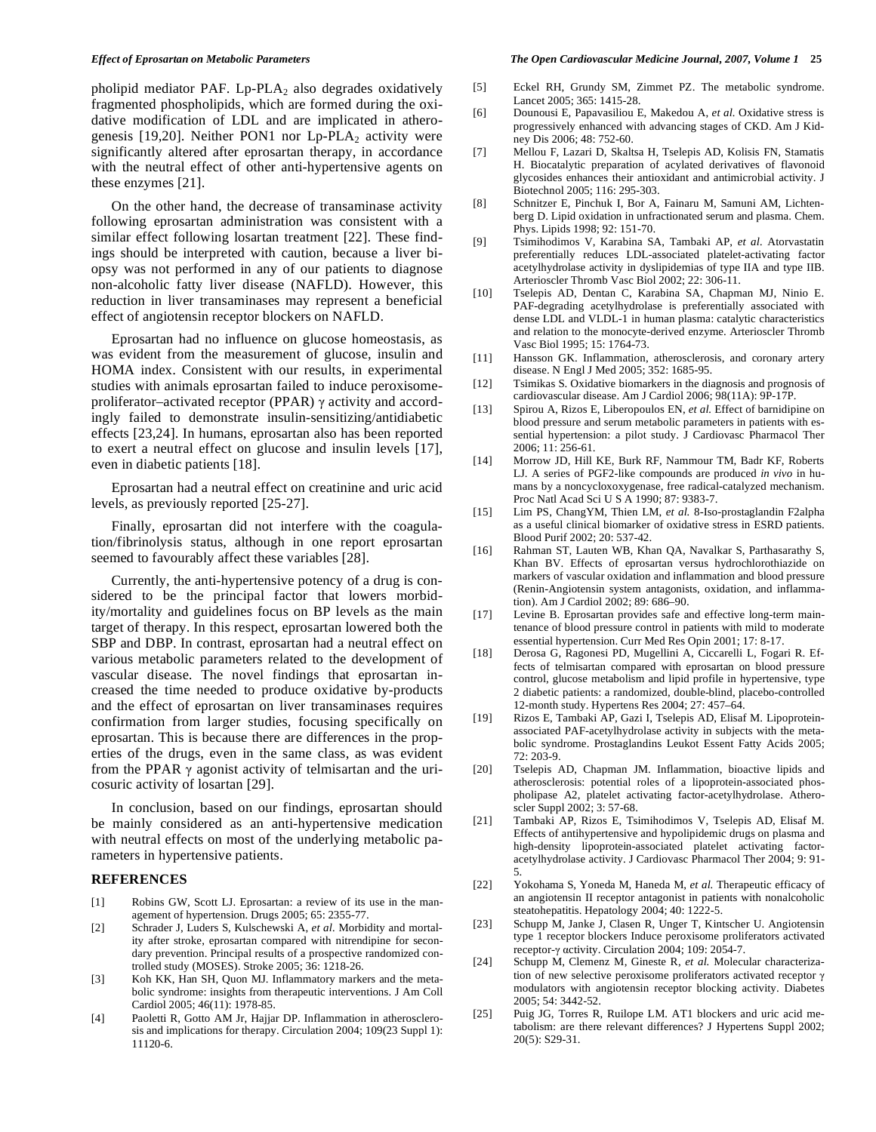pholipid mediator PAF.  $L_p$ -PLA<sub>2</sub> also degrades oxidatively fragmented phospholipids, which are formed during the oxidative modification of LDL and are implicated in atherogenesis [19,20]. Neither PON1 nor  $L_p$ -PLA<sub>2</sub> activity were significantly altered after eprosartan therapy, in accordance with the neutral effect of other anti-hypertensive agents on these enzymes [21].

 On the other hand, the decrease of transaminase activity following eprosartan administration was consistent with a similar effect following losartan treatment [22]. These findings should be interpreted with caution, because a liver biopsy was not performed in any of our patients to diagnose non-alcoholic fatty liver disease (NAFLD). However, this reduction in liver transaminases may represent a beneficial effect of angiotensin receptor blockers on NAFLD.

 Eprosartan had no influence on glucose homeostasis, as was evident from the measurement of glucose, insulin and HOMA index. Consistent with our results, in experimental studies with animals eprosartan failed to induce peroxisomeproliferator-activated receptor (PPAR)  $\gamma$  activity and accordingly failed to demonstrate insulin-sensitizing/antidiabetic effects [23,24]. In humans, eprosartan also has been reported to exert a neutral effect on glucose and insulin levels [17], even in diabetic patients [18].

 Eprosartan had a neutral effect on creatinine and uric acid levels, as previously reported [25-27].

 Finally, eprosartan did not interfere with the coagulation/fibrinolysis status, although in one report eprosartan seemed to favourably affect these variables [28].

 Currently, the anti-hypertensive potency of a drug is considered to be the principal factor that lowers morbidity/mortality and guidelines focus on BP levels as the main target of therapy. In this respect, eprosartan lowered both the SBP and DBP. In contrast, eprosartan had a neutral effect on various metabolic parameters related to the development of vascular disease. The novel findings that eprosartan increased the time needed to produce oxidative by-products and the effect of eprosartan on liver transaminases requires confirmation from larger studies, focusing specifically on eprosartan. This is because there are differences in the properties of the drugs, even in the same class, as was evident from the PPAR  $\gamma$  agonist activity of telmisartan and the uricosuric activity of losartan [29].

 In conclusion, based on our findings, eprosartan should be mainly considered as an anti-hypertensive medication with neutral effects on most of the underlying metabolic parameters in hypertensive patients.

### **REFERENCES**

- [1] Robins GW, Scott LJ. Eprosartan: a review of its use in the management of hypertension. Drugs 2005; 65: 2355-77.
- [2] Schrader J, Luders S, Kulschewski A, *et al.* Morbidity and mortality after stroke, eprosartan compared with nitrendipine for secondary prevention. Principal results of a prospective randomized controlled study (MOSES). Stroke 2005; 36: 1218-26.
- [3] Koh KK, Han SH, Quon MJ. Inflammatory markers and the metabolic syndrome: insights from therapeutic interventions. J Am Coll Cardiol 2005; 46(11): 1978-85.
- [4] Paoletti R, Gotto AM Jr, Hajjar DP. Inflammation in atherosclerosis and implications for therapy. Circulation 2004; 109(23 Suppl 1): 11120-6.

#### *Effect of Eprosartan on Metabolic Parameters The Open Cardiovascular Medicine Journal, 2007, Volume 1* **25**

- [5] Eckel RH, Grundy SM, Zimmet PZ. The metabolic syndrome. Lancet 2005; 365: 1415-28.
- [6] Dounousi E, Papavasiliou E, Makedou A, *et al.* Oxidative stress is progressively enhanced with advancing stages of CKD. Am J Kidney Dis 2006; 48: 752-60.
- [7] Mellou F, Lazari D, Skaltsa H, Tselepis AD, Kolisis FN, Stamatis H. Biocatalytic preparation of acylated derivatives of flavonoid glycosides enhances their antioxidant and antimicrobial activity. J Biotechnol 2005; 116: 295-303.
- [8] Schnitzer E, Pinchuk I, Bor A, Fainaru M, Samuni AM, Lichtenberg D. Lipid oxidation in unfractionated serum and plasma. Chem. Phys. Lipids 1998; 92: 151-70.
- [9] Tsimihodimos V, Karabina SA, Tambaki AP, *et al.* Atorvastatin preferentially reduces LDL-associated platelet-activating factor acetylhydrolase activity in dyslipidemias of type IIA and type IIB. Arterioscler Thromb Vasc Biol 2002; 22: 306-11.
- [10] Tselepis AD, Dentan C, Karabina SA, Chapman MJ, Ninio E. PAF-degrading acetylhydrolase is preferentially associated with dense LDL and VLDL-1 in human plasma: catalytic characteristics and relation to the monocyte-derived enzyme. Arterioscler Thromb Vasc Biol 1995; 15: 1764-73.
- [11] Hansson GK. Inflammation, atherosclerosis, and coronary artery disease. N Engl J Med 2005; 352: 1685-95.
- [12] Tsimikas S. Oxidative biomarkers in the diagnosis and prognosis of cardiovascular disease. Am J Cardiol 2006; 98(11A): 9P-17P.
- [13] Spirou A, Rizos E, Liberopoulos EN, *et al.* Effect of barnidipine on blood pressure and serum metabolic parameters in patients with essential hypertension: a pilot study. J Cardiovasc Pharmacol Ther 2006; 11: 256-61.
- [14] Morrow JD, Hill KE, Burk RF, Nammour TM, Badr KF, Roberts LJ. A series of PGF2-like compounds are produced *in vivo* in humans by a noncycloxoxygenase, free radical-catalyzed mechanism. Proc Natl Acad Sci U S A 1990; 87: 9383-7.
- [15] Lim PS, ChangYM, Thien LM, *et al.* 8-Iso-prostaglandin F2alpha as a useful clinical biomarker of oxidative stress in ESRD patients. Blood Purif 2002; 20: 537-42.
- [16] Rahman ST, Lauten WB, Khan QA, Navalkar S, Parthasarathy S, Khan BV. Effects of eprosartan versus hydrochlorothiazide on markers of vascular oxidation and inflammation and blood pressure (Renin-Angiotensin system antagonists, oxidation, and inflammation). Am J Cardiol 2002; 89: 686–90.
- [17] Levine B. Eprosartan provides safe and effective long-term maintenance of blood pressure control in patients with mild to moderate essential hypertension. Curr Med Res Opin 2001; 17: 8-17.
- [18] Derosa G, Ragonesi PD, Mugellini A, Ciccarelli L, Fogari R. Effects of telmisartan compared with eprosartan on blood pressure control, glucose metabolism and lipid profile in hypertensive, type 2 diabetic patients: a randomized, double-blind, placebo-controlled 12-month study. Hypertens Res 2004; 27: 457–64.
- [19] Rizos E, Tambaki AP, Gazi I, Tselepis AD, Elisaf M. Lipoproteinassociated PAF-acetylhydrolase activity in subjects with the metabolic syndrome. Prostaglandins Leukot Essent Fatty Acids 2005; 72: 203-9.
- [20] Tselepis AD, Chapman JM. Inflammation, bioactive lipids and atherosclerosis: potential roles of a lipoprotein-associated phospholipase A2, platelet activating factor-acetylhydrolase. Atheroscler Suppl 2002; 3: 57-68.
- [21] Tambaki AP, Rizos E, Tsimihodimos V, Tselepis AD, Elisaf M. Effects of antihypertensive and hypolipidemic drugs on plasma and high-density lipoprotein-associated platelet activating factoracetylhydrolase activity. J Cardiovasc Pharmacol Ther 2004; 9: 91- 5.
- [22] Yokohama S, Yoneda M, Haneda M, *et al.* Therapeutic efficacy of an angiotensin II receptor antagonist in patients with nonalcoholic steatohepatitis. Hepatology 2004; 40: 1222-5.
- [23] Schupp M, Janke J, Clasen R, Unger T, Kintscher U. Angiotensin type 1 receptor blockers Induce peroxisome proliferators activated receptor- $\gamma$  activity. Circulation 2004; 109: 2054-7.
- [24] Schupp M, Clemenz M, Gineste R, *et al.* Molecular characterization of new selective peroxisome proliferators activated receptor  $\gamma$ modulators with angiotensin receptor blocking activity. Diabetes 2005; 54: 3442-52.
- [25] Puig JG, Torres R, Ruilope LM. AT1 blockers and uric acid metabolism: are there relevant differences? J Hypertens Suppl 2002; 20(5): S29-31.